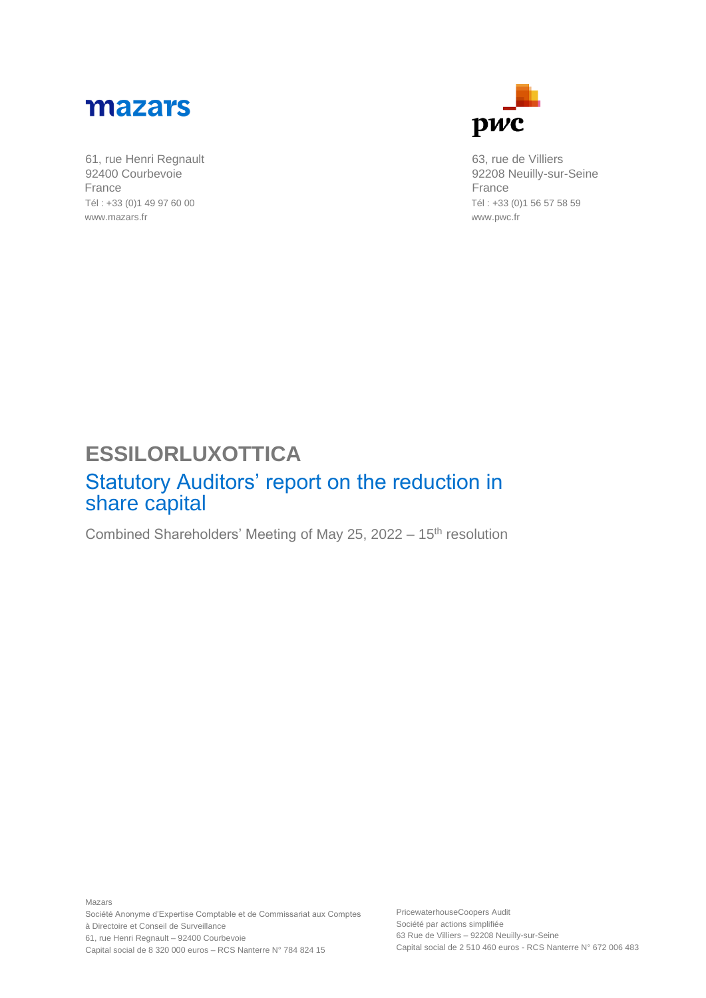

61, rue Henri Regnault 92400 Courbevoie France Tél : +33 (0)1 49 97 60 00 www.mazars.fr



63, rue de Villiers 92208 Neuilly-sur-Seine France Tél : +33 (0)1 56 57 58 59 www.pwc.fr

## **ESSILORLUXOTTICA**

## Statutory Auditors' report on the reduction in share capital

Combined Shareholders' Meeting of May 25, 2022 - 15<sup>th</sup> resolution

Mazars Société Anonyme d'Expertise Comptable et de Commissariat aux Comptes à Directoire et Conseil de Surveillance 61, rue Henri Regnault – 92400 Courbevoie Capital social de 8 320 000 euros – RCS Nanterre N° 784 824 15

PricewaterhouseCoopers Audit Société par actions simplifiée 63 Rue de Villiers – 92208 Neuilly-sur-Seine Capital social de 2 510 460 euros - RCS Nanterre N° 672 006 483